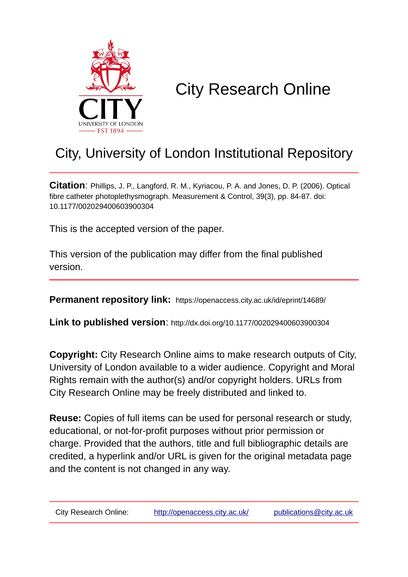

# City Research Online

# City, University of London Institutional Repository

**Citation**: Phillips, J. P., Langford, R. M., Kyriacou, P. A. and Jones, D. P. (2006). Optical fibre catheter photoplethysmograph. Measurement & Control, 39(3), pp. 84-87. doi: 10.1177/002029400603900304

This is the accepted version of the paper.

This version of the publication may differ from the final published version.

**Permanent repository link:** https://openaccess.city.ac.uk/id/eprint/14689/

**Link to published version**: http://dx.doi.org/10.1177/002029400603900304

**Copyright:** City Research Online aims to make research outputs of City, University of London available to a wider audience. Copyright and Moral Rights remain with the author(s) and/or copyright holders. URLs from City Research Online may be freely distributed and linked to.

**Reuse:** Copies of full items can be used for personal research or study, educational, or not-for-profit purposes without prior permission or charge. Provided that the authors, title and full bibliographic details are credited, a hyperlink and/or URL is given for the original metadata page and the content is not changed in any way.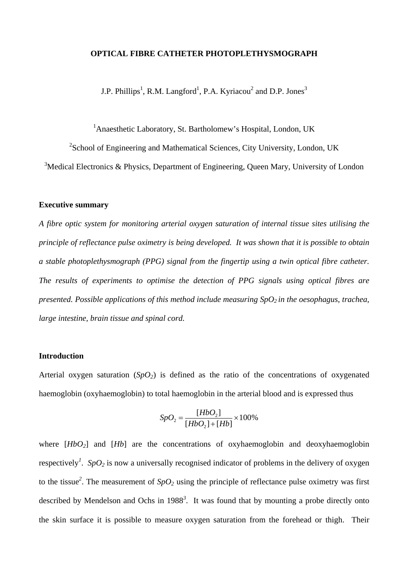## **OPTICAL FIBRE CATHETER PHOTOPLETHYSMOGRAPH**

J.P. Phillips<sup>1</sup>, R.M. Langford<sup>1</sup>, P.A. Kyriacou<sup>2</sup> and D.P. Jones<sup>3</sup>

<sup>1</sup> Anaesthetic Laboratory, St. Bartholomew's Hospital, London, UK

 $2^2$ School of Engineering and Mathematical Sciences, City University, London, UK  $3$ Medical Electronics & Physics, Department of Engineering, Queen Mary, University of London

#### **Executive summary**

*A fibre optic system for monitoring arterial oxygen saturation of internal tissue sites utilising the principle of reflectance pulse oximetry is being developed. It was shown that it is possible to obtain a stable photoplethysmograph (PPG) signal from the fingertip using a twin optical fibre catheter. The results of experiments to optimise the detection of PPG signals using optical fibres are presented. Possible applications of this method include measuring SpO<sub>2</sub> in the oesophagus, trachea, large intestine, brain tissue and spinal cord.* 

# **Introduction**

Arterial oxygen saturation  $(SpO<sub>2</sub>)$  is defined as the ratio of the concentrations of oxygenated haemoglobin (oxyhaemoglobin) to total haemoglobin in the arterial blood and is expressed thus

$$
SpO_2 = \frac{[HbO_2]}{[HbO_2] + [Hb]} \times 100\%
$$

where  $[HbO_2]$  and  $[Hb]$  are the concentrations of oxyhaemoglobin and deoxyhaemoglobin respectively<sup>1</sup>. *SpO*<sub>2</sub> is now a universally recognised indicator of problems in the delivery of oxygen to the tissue<sup>2</sup>. The measurement of  $SpO<sub>2</sub>$  using the principle of reflectance pulse oximetry was first described by Mendelson and Ochs in 1988*<sup>3</sup>* . It was found that by mounting a probe directly onto the skin surface it is possible to measure oxygen saturation from the forehead or thigh. Their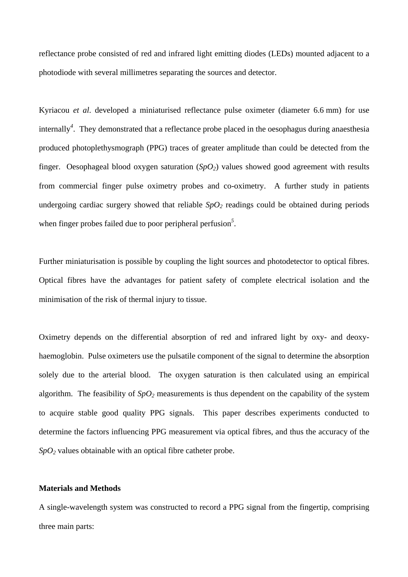reflectance probe consisted of red and infrared light emitting diodes (LEDs) mounted adjacent to a photodiode with several millimetres separating the sources and detector.

Kyriacou *et al*. developed a miniaturised reflectance pulse oximeter (diameter 6.6 mm) for use internally*<sup>4</sup>* . They demonstrated that a reflectance probe placed in the oesophagus during anaesthesia produced photoplethysmograph (PPG) traces of greater amplitude than could be detected from the finger. Oesophageal blood oxygen saturation  $(SpO<sub>2</sub>)$  values showed good agreement with results from commercial finger pulse oximetry probes and co-oximetry. A further study in patients undergoing cardiac surgery showed that reliable  $SpO<sub>2</sub>$  readings could be obtained during periods when finger probes failed due to poor peripheral perfusion<sup>5</sup>.

Further miniaturisation is possible by coupling the light sources and photodetector to optical fibres. Optical fibres have the advantages for patient safety of complete electrical isolation and the minimisation of the risk of thermal injury to tissue.

Oximetry depends on the differential absorption of red and infrared light by oxy- and deoxyhaemoglobin. Pulse oximeters use the pulsatile component of the signal to determine the absorption solely due to the arterial blood. The oxygen saturation is then calculated using an empirical algorithm. The feasibility of  $SpO<sub>2</sub>$  measurements is thus dependent on the capability of the system to acquire stable good quality PPG signals. This paper describes experiments conducted to determine the factors influencing PPG measurement via optical fibres, and thus the accuracy of the *SpO2* values obtainable with an optical fibre catheter probe.

#### **Materials and Methods**

A single-wavelength system was constructed to record a PPG signal from the fingertip, comprising three main parts: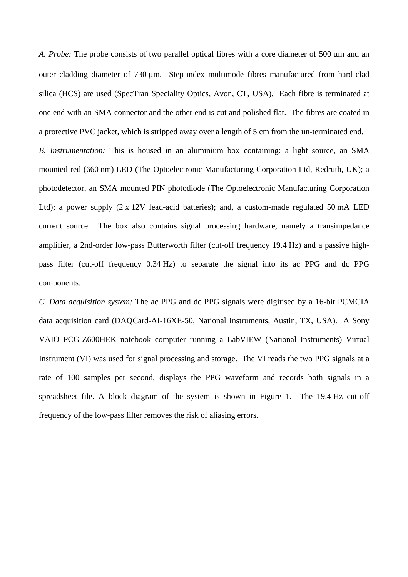*A. Probe:* The probe consists of two parallel optical fibres with a core diameter of 500 µm and an outer cladding diameter of 730  $\mu$ m. Step-index multimode fibres manufactured from hard-clad silica (HCS) are used (SpecTran Speciality Optics, Avon, CT, USA). Each fibre is terminated at one end with an SMA connector and the other end is cut and polished flat. The fibres are coated in a protective PVC jacket, which is stripped away over a length of 5 cm from the un-terminated end.

*B. Instrumentation:* This is housed in an aluminium box containing: a light source, an SMA mounted red (660 nm) LED (The Optoelectronic Manufacturing Corporation Ltd, Redruth, UK); a photodetector, an SMA mounted PIN photodiode (The Optoelectronic Manufacturing Corporation Ltd); a power supply (2 x 12V lead-acid batteries); and, a custom-made regulated 50 mA LED current source. The box also contains signal processing hardware, namely a transimpedance amplifier, a 2nd-order low-pass Butterworth filter (cut-off frequency 19.4 Hz) and a passive highpass filter (cut-off frequency 0.34 Hz) to separate the signal into its ac PPG and dc PPG components.

*C. Data acquisition system:* The ac PPG and dc PPG signals were digitised by a 16-bit PCMCIA data acquisition card (DAQCard-AI-16XE-50, National Instruments, Austin, TX, USA). A Sony VAIO PCG-Z600HEK notebook computer running a LabVIEW (National Instruments) Virtual Instrument (VI) was used for signal processing and storage. The VI reads the two PPG signals at a rate of 100 samples per second, displays the PPG waveform and records both signals in a spreadsheet file. A block diagram of the system is shown in Figure 1. The 19.4 Hz cut-off frequency of the low-pass filter removes the risk of aliasing errors.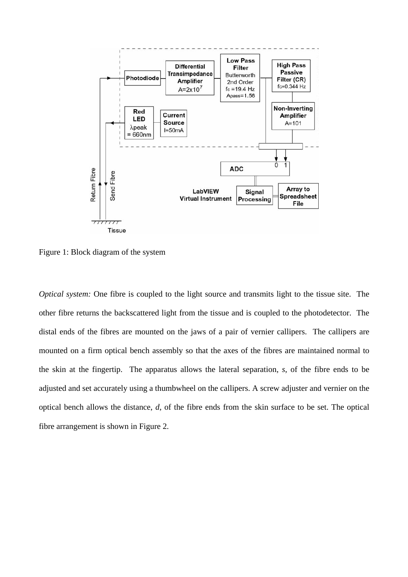

Figure 1: Block diagram of the system

*Optical system:* One fibre is coupled to the light source and transmits light to the tissue site. The other fibre returns the backscattered light from the tissue and is coupled to the photodetector. The distal ends of the fibres are mounted on the jaws of a pair of vernier callipers. The callipers are mounted on a firm optical bench assembly so that the axes of the fibres are maintained normal to the skin at the fingertip. The apparatus allows the lateral separation, *s*, of the fibre ends to be adjusted and set accurately using a thumbwheel on the callipers. A screw adjuster and vernier on the optical bench allows the distance, *d*, of the fibre ends from the skin surface to be set. The optical fibre arrangement is shown in Figure 2.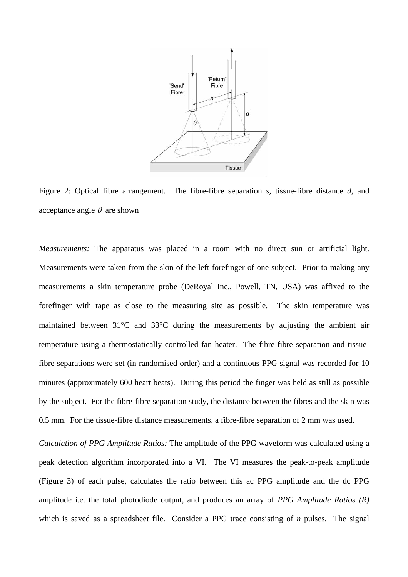

Figure 2: Optical fibre arrangement. The fibre-fibre separation *s*, tissue-fibre distance *d*, and acceptance angle  $\theta$  are shown

*Measurements:* The apparatus was placed in a room with no direct sun or artificial light. Measurements were taken from the skin of the left forefinger of one subject. Prior to making any measurements a skin temperature probe (DeRoyal Inc., Powell, TN, USA) was affixed to the forefinger with tape as close to the measuring site as possible. The skin temperature was maintained between 31°C and 33°C during the measurements by adjusting the ambient air temperature using a thermostatically controlled fan heater. The fibre-fibre separation and tissuefibre separations were set (in randomised order) and a continuous PPG signal was recorded for 10 minutes (approximately 600 heart beats). During this period the finger was held as still as possible by the subject. For the fibre-fibre separation study, the distance between the fibres and the skin was 0.5 mm. For the tissue-fibre distance measurements, a fibre-fibre separation of 2 mm was used.

*Calculation of PPG Amplitude Ratios:* The amplitude of the PPG waveform was calculated using a peak detection algorithm incorporated into a VI. The VI measures the peak-to-peak amplitude (Figure 3) of each pulse, calculates the ratio between this ac PPG amplitude and the dc PPG amplitude i.e. the total photodiode output, and produces an array of *PPG Amplitude Ratios (R)* which is saved as a spreadsheet file. Consider a PPG trace consisting of *n* pulses. The signal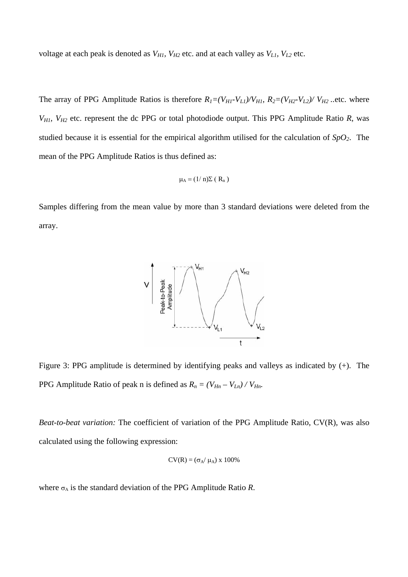voltage at each peak is denoted as  $V_{H1}$ ,  $V_{H2}$  etc. and at each valley as  $V_{L1}$ ,  $V_{L2}$  etc.

The array of PPG Amplitude Ratios is therefore  $R_1=(V_{H1}-V_{L1})/V_{H1}$ ,  $R_2=(V_{H2}-V_{L2})/V_{H2}$ ..etc. where *VH1, VH2* etc. represent the dc PPG or total photodiode output. This PPG Amplitude Ratio *R*, was studied because it is essential for the empirical algorithm utilised for the calculation of *SpO2*. The mean of the PPG Amplitude Ratios is thus defined as:

$$
\mu_A = (1/\,n)\Sigma\,(\,R_n\,)
$$

Samples differing from the mean value by more than 3 standard deviations were deleted from the array.



Figure 3: PPG amplitude is determined by identifying peaks and valleys as indicated by (+). The PPG Amplitude Ratio of peak n is defined as  $R_n = (V_{Hn} - V_{Ln}) / V_{Hn}$ .

*Beat-to-beat variation:* The coefficient of variation of the PPG Amplitude Ratio, CV(R), was also calculated using the following expression:

$$
CV(R) = (\sigma_A / \mu_A) \times 100\%
$$

where  $\sigma_A$  is the standard deviation of the PPG Amplitude Ratio *R*.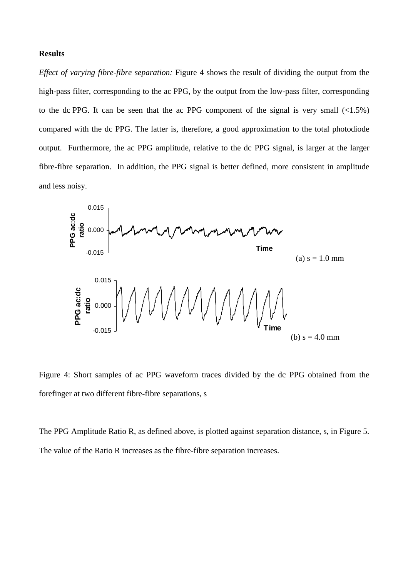# **Results**

*Effect of varying fibre-fibre separation:* Figure 4 shows the result of dividing the output from the high-pass filter, corresponding to the ac PPG, by the output from the low-pass filter, corresponding to the dc PPG. It can be seen that the ac PPG component of the signal is very small  $\left($ <1.5%) compared with the dc PPG. The latter is, therefore, a good approximation to the total photodiode output. Furthermore, the ac PPG amplitude, relative to the dc PPG signal, is larger at the larger fibre-fibre separation. In addition, the PPG signal is better defined, more consistent in amplitude and less noisy.



Figure 4: Short samples of ac PPG waveform traces divided by the dc PPG obtained from the forefinger at two different fibre-fibre separations, s

The PPG Amplitude Ratio R, as defined above, is plotted against separation distance, s, in Figure 5. The value of the Ratio R increases as the fibre-fibre separation increases.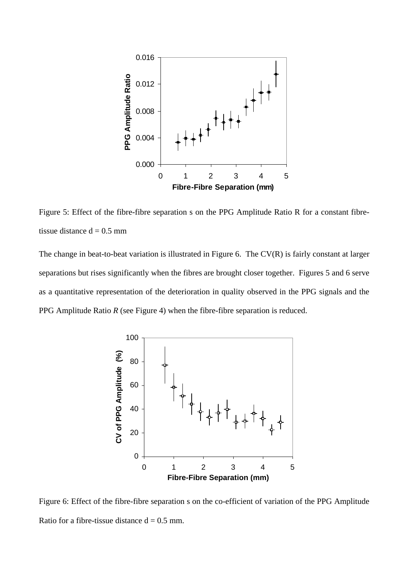

Figure 5: Effect of the fibre-fibre separation s on the PPG Amplitude Ratio R for a constant fibretissue distance  $d = 0.5$  mm

The change in beat-to-beat variation is illustrated in Figure 6. The CV(R) is fairly constant at larger separations but rises significantly when the fibres are brought closer together. Figures 5 and 6 serve as a quantitative representation of the deterioration in quality observed in the PPG signals and the PPG Amplitude Ratio *R* (see Figure 4) when the fibre-fibre separation is reduced.



Figure 6: Effect of the fibre-fibre separation s on the co-efficient of variation of the PPG Amplitude Ratio for a fibre-tissue distance  $d = 0.5$  mm.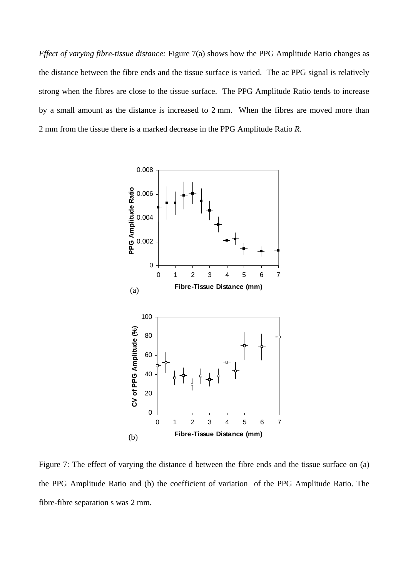*Effect of varying fibre-tissue distance:* Figure 7(a) shows how the PPG Amplitude Ratio changes as the distance between the fibre ends and the tissue surface is varied. The ac PPG signal is relatively strong when the fibres are close to the tissue surface. The PPG Amplitude Ratio tends to increase by a small amount as the distance is increased to 2 mm. When the fibres are moved more than 2 mm from the tissue there is a marked decrease in the PPG Amplitude Ratio *R*.



Figure 7: The effect of varying the distance d between the fibre ends and the tissue surface on (a) the PPG Amplitude Ratio and (b) the coefficient of variation of the PPG Amplitude Ratio. The fibre-fibre separation s was 2 mm.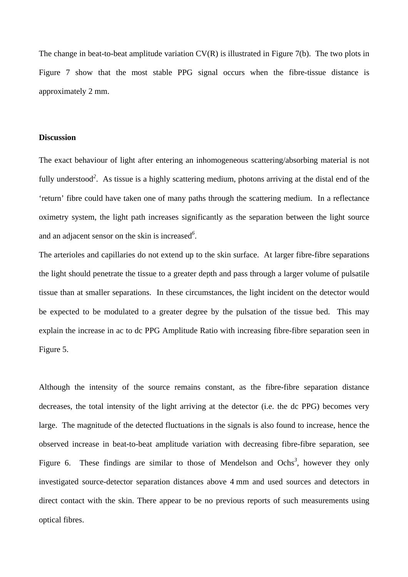The change in beat-to-beat amplitude variation CV(R) is illustrated in Figure 7(b). The two plots in Figure 7 show that the most stable PPG signal occurs when the fibre-tissue distance is approximately 2 mm.

#### **Discussion**

The exact behaviour of light after entering an inhomogeneous scattering/absorbing material is not fully understood*<sup>2</sup>* . As tissue is a highly scattering medium, photons arriving at the distal end of the 'return' fibre could have taken one of many paths through the scattering medium. In a reflectance oximetry system, the light path increases significantly as the separation between the light source and an adjacent sensor on the skin is increased*<sup>6</sup>* .

The arterioles and capillaries do not extend up to the skin surface. At larger fibre-fibre separations the light should penetrate the tissue to a greater depth and pass through a larger volume of pulsatile tissue than at smaller separations. In these circumstances, the light incident on the detector would be expected to be modulated to a greater degree by the pulsation of the tissue bed. This may explain the increase in ac to dc PPG Amplitude Ratio with increasing fibre-fibre separation seen in Figure 5.

Although the intensity of the source remains constant, as the fibre-fibre separation distance decreases, the total intensity of the light arriving at the detector (i.e. the dc PPG) becomes very large. The magnitude of the detected fluctuations in the signals is also found to increase, hence the observed increase in beat-to-beat amplitude variation with decreasing fibre-fibre separation, see Figure 6. These findings are similar to those of Mendelson and Ochs<sup>3</sup>, however they only investigated source-detector separation distances above 4 mm and used sources and detectors in direct contact with the skin. There appear to be no previous reports of such measurements using optical fibres.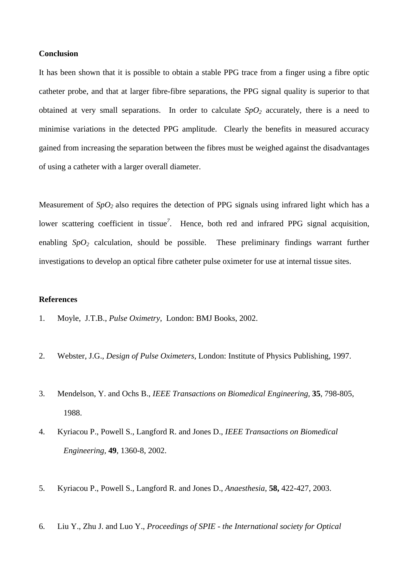## **Conclusion**

It has been shown that it is possible to obtain a stable PPG trace from a finger using a fibre optic catheter probe, and that at larger fibre-fibre separations, the PPG signal quality is superior to that obtained at very small separations. In order to calculate  $SpO<sub>2</sub>$  accurately, there is a need to minimise variations in the detected PPG amplitude. Clearly the benefits in measured accuracy gained from increasing the separation between the fibres must be weighed against the disadvantages of using a catheter with a larger overall diameter.

Measurement of *SpO*<sub>2</sub> also requires the detection of PPG signals using infrared light which has a lower scattering coefficient in tissue<sup>7</sup>. Hence, both red and infrared PPG signal acquisition, enabling  $SpO<sub>2</sub>$  calculation, should be possible. These preliminary findings warrant further investigations to develop an optical fibre catheter pulse oximeter for use at internal tissue sites.

#### **References**

- 1. Moyle, J.T.B., *Pulse Oximetry*, London: BMJ Books, 2002.
- 2. Webster, J.G., *Design of Pulse Oximeters,* London: Institute of Physics Publishing, 1997.
- 3. Mendelson, Y. and Ochs B., *IEEE Transactions on Biomedical Engineering,* **35**, 798-805, 1988.
- 4. Kyriacou P., Powell S., Langford R. and Jones D., *IEEE Transactions on Biomedical Engineering,* **49**, 1360-8, 2002.
- 5. Kyriacou P., Powell S., Langford R. and Jones D., *Anaesthesia*, **58,** 422-427, 2003.
- 6. Liu Y., Zhu J. and Luo Y., *Proceedings of SPIE the International society for Optical*